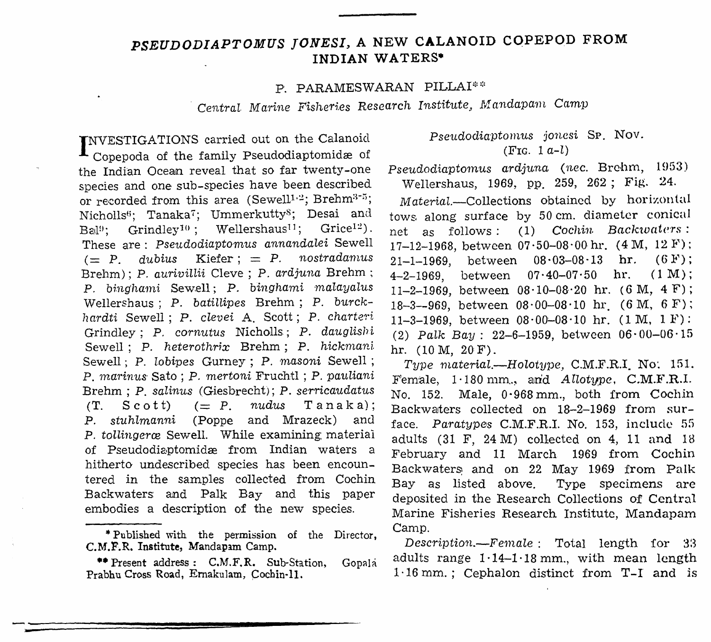## PSEUDODIAPTOMUS JONESI, A NEW CALANOID COPEPOD FROM INDIAN WATERS\*

## P. PARAMESWARAN PILLAI\*\*

Central Marine Fisheries Research Institute, Mandapam Camp

INVESTIGATIONS carried out on the Calanoid Copepoda of the family Pseudodiaptomidæ of the Indian Ocean reveal that so far twenty-one species and one sub-species have been described or recorded from this area (Sewell1.2; Brehm<sup>3-5</sup>; Nicholls<sup>6</sup>; Tanaka<sup>7</sup>; Ummerkutty<sup>8</sup>; Desai and Grindley<sup>10</sup>; Wellershaus<sup>11</sup>; Grice<sup>12</sup>).  $Bail$ <sup>19</sup>: These are: Pseudodiaptomus annandalei Sewell Kiefer;  $=$  P. nostradamus  $(= P. \quad dubius$ Brehm); P. aurivillii Cleve; P. ardjuna Brehm; P. binghami Sewell; P. binghami malayalus Wellershaus; P. batillipes Brehm; P. burckhardti Sewell; P. clevei A. Scott; P. charteri Grindley; P. cornutus Nicholls; P. dauglishi Sewell; P. heterothrix Brehm; P. hickmani Sewell; P. lobipes Gurney; P. masoni Sewell; P. marinus Sato; P. mertoni Fruchtl; P. pauliani Brehm; P. salinus (Giesbrecht); P. serricaudatus  $(=$   $P$ .  $nudus$  $T$  anaka):  $(T.$  $S\cot t$ P. stuhlmanni (Poppe and Mrazeck) and P. tollingeræ Sewell. While examining material of Pseudodiaptomidæ from Indian waters a hitherto undescribed species has been encountered in the samples collected from Cochin Backwaters and Palk Bay and this paper embodies a description of the new species.

## Pseudodiaptomus jonesi SP. Nov. (FIG.  $1 a-l$ )

Pseudodiaptomus ardjuna (nec. Brehm, 1953) Wellershaus, 1969, pp. 259, 262; Fig. 24.

Material.--Collections obtained by horizontal tows along surface by 50 cm. diameter conical net as follows: (1) Cochin Backwaters: 17-12-1968, between  $07.50-08.00$  hr.  $(4 M, 12 F)$ ;  $21-1-1969$ , between  $08.03-08.13$  hr.  $(6F)$ ;  $4-2-1969$ , between  $07 \cdot 40-07 \cdot 50$  hr.  $(1 M)$ : 11-2-1969, between  $08 \cdot 10 - 08 \cdot 20$  hr. (6 M, 4 F); 18-3--969, between  $08.00-08.10$  hr (6 M, 6 F); 11-3-1969, between  $08 \cdot 00 - 08 \cdot 10$  hr. (1 M, 1 F): (2) Palk Bay: 22-6-1959, between  $06.00-06.15$ hr.  $(10 M, 20 F)$ .

Type material.-Holotype, C.M.F.R.I. No. 151. Female, 1.180 mm., and Allotype, C.M.F.R.I. No. 152. Male, 0.968 mm., both from Cochin Backwaters collected on 18-2-1969 from surface. Paratypes C.M.F.R.I. No. 153, include 55 adults (31 F, 24 M) collected on 4, 11 and 18 February and 11 March 1969 from Cochin Backwaters and on 22 May 1969 from Palk Bay as listed above. Type specimens are deposited in the Research Collections of Central Marine Fisheries Research Institute, Mandapam Camp.

Description.--Female: Total length for 33 adults range  $1.14-1.18$  mm, with mean length  $1.16$  mm.; Cephalon distinct from  $T-I$  and is

<sup>\*</sup>Published with the permission of the Director, C.M.F.R. Institute, Mandapam Camp.

<sup>\*\*</sup> Present address: C.M.F.R. Sub-Station, Gopala Prabhu Cross Road, Ernakulam, Cochin-11.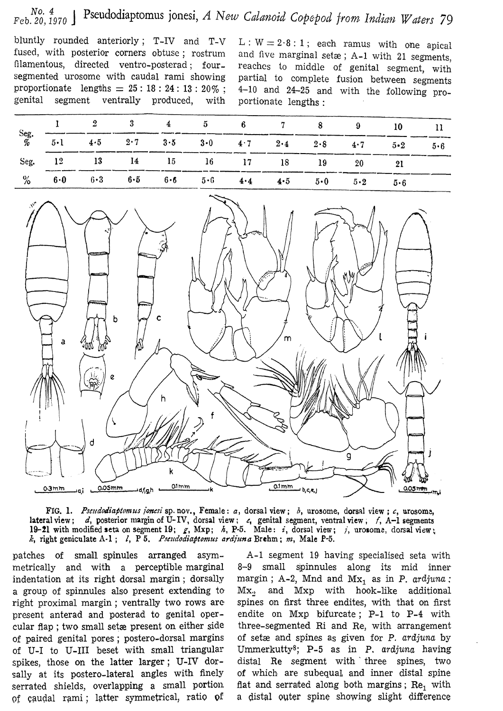## Pseudodiaptomus jonesi, A New Calanoid Copepod from Indian Waters 79 No. 4  $Feb. 20, 1970$

bluntly rounded anteriorly; T-IV and T-V fused, with posterior corners obtuse; rostrum filamentous, directed ventro-posterad; foursegmented urosome with caudal rami showing proportionate lengths =  $25:18:24:13:20\%$ ; genital segment ventrally produced, with

 $L: W = 2.8:1$ ; each ramus with one apical and five marginal setæ; A-1 with 21 segments, reaches to middle of genital segment, with partial to complete fusion between segments  $4-10$  and  $24-25$  and with the following proportionate lengths :

|                         |         |  | $4 \quad 5 \quad 6 \quad 7$                                             |  |                                                 |             |             |  |
|-------------------------|---------|--|-------------------------------------------------------------------------|--|-------------------------------------------------|-------------|-------------|--|
| $\frac{\text{Seg}}{\%}$ | $5 - 1$ |  |                                                                         |  | $4.5$ $2.7$ $3.5$ $3.0$ $4.7$ $2.4$ $2.8$ $4.7$ |             | $5 \cdot 2$ |  |
| Seg.                    |         |  |                                                                         |  | 12 13 14 15 16 17 18 19                         | 20          |             |  |
| $\%$                    | 6·0     |  | $6 \cdot 3$ $6 \cdot 5$ $6 \cdot 6$ $5 \cdot 6$ $4 \cdot 4$ $4 \cdot 5$ |  | $5\cdot 0$                                      | $5 \cdot 2$ |             |  |





patches of small spinules arranged asymmetrically and with a perceptible marginal indentation at its right dorsal margin; dorsally a group of spinnules also present extending to right proximal margin; ventrally two rows are present anterad and posterad to genital opercular flap; two small set a present on either side of paired genital pores; postero-dorsal margins of U-I to U-III beset with small triangular spikes, those on the latter larger; U-IV dorsally at its postero-lateral angles with finely serrated shields, overlapping a small portion. of caudal rami; latter symmetrical, ratio of

A-1 segment 19 having specialised seta with 8-9 small spinnules along its mid inner margin; A-2, Mnd and  $Mx_1$  as in P. ardjuna;  $\rm Mx_{\rm o}$ and Mxp with hook-like additional spines on first three endites, with that on first endite on Mxp bifurcate; P-1 to P-4 with three-segmented Ri and Re, with arrangement of setæ and spines as given for P. ardjuna by Ummerkutty<sup>8</sup>; P-5 as in P. ardjuna having distal Re segment with three spines, two of which are subequal and inner distal spine flat and serrated along both margins; Re, with a distal outer spine showing slight difference